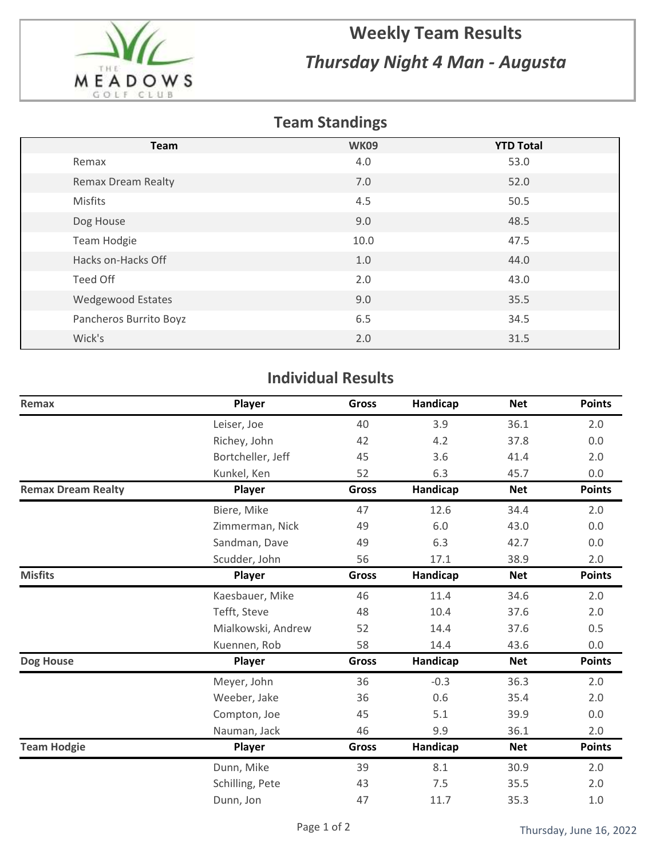

## **Weekly Team Results** *Thursday Night 4 Man - Augusta*

## **Team Standings**

| <b>Team</b>               | <b>WK09</b> | <b>YTD Total</b> |
|---------------------------|-------------|------------------|
| Remax                     | 4.0         | 53.0             |
| <b>Remax Dream Realty</b> | 7.0         | 52.0             |
| <b>Misfits</b>            | 4.5         | 50.5             |
| Dog House                 | 9.0         | 48.5             |
| Team Hodgie               | 10.0        | 47.5             |
| Hacks on-Hacks Off        | 1.0         | 44.0             |
| Teed Off                  | 2.0         | 43.0             |
| <b>Wedgewood Estates</b>  | 9.0         | 35.5             |
| Pancheros Burrito Boyz    | 6.5         | 34.5             |
| Wick's                    | 2.0         | 31.5             |

## **Individual Results**

| Remax                     | Player             | <b>Gross</b> | Handicap | <b>Net</b> | <b>Points</b> |
|---------------------------|--------------------|--------------|----------|------------|---------------|
|                           | Leiser, Joe        | 40           | 3.9      | 36.1       | 2.0           |
|                           | Richey, John       | 42           | 4.2      | 37.8       | 0.0           |
|                           | Bortcheller, Jeff  | 45           | 3.6      | 41.4       | 2.0           |
|                           | Kunkel, Ken        | 52           | 6.3      | 45.7       | 0.0           |
| <b>Remax Dream Realty</b> | Player             | <b>Gross</b> | Handicap | <b>Net</b> | <b>Points</b> |
|                           | Biere, Mike        | 47           | 12.6     | 34.4       | 2.0           |
|                           | Zimmerman, Nick    | 49           | 6.0      | 43.0       | 0.0           |
|                           | Sandman, Dave      | 49           | 6.3      | 42.7       | 0.0           |
|                           | Scudder, John      | 56           | 17.1     | 38.9       | 2.0           |
| <b>Misfits</b>            | Player             | <b>Gross</b> | Handicap | <b>Net</b> | <b>Points</b> |
|                           | Kaesbauer, Mike    | 46           | 11.4     | 34.6       | 2.0           |
|                           | Tefft, Steve       | 48           | 10.4     | 37.6       | 2.0           |
|                           | Mialkowski, Andrew | 52           | 14.4     | 37.6       | 0.5           |
|                           | Kuennen, Rob       | 58           | 14.4     | 43.6       | 0.0           |
| Dog House                 | Player             | <b>Gross</b> | Handicap | <b>Net</b> | <b>Points</b> |
|                           | Meyer, John        | 36           | $-0.3$   | 36.3       | 2.0           |
|                           | Weeber, Jake       | 36           | 0.6      | 35.4       | 2.0           |
|                           | Compton, Joe       | 45           | 5.1      | 39.9       | 0.0           |
|                           | Nauman, Jack       | 46           | 9.9      | 36.1       | 2.0           |
| <b>Team Hodgie</b>        | Player             | <b>Gross</b> | Handicap | <b>Net</b> | <b>Points</b> |
|                           | Dunn, Mike         | 39           | 8.1      | 30.9       | 2.0           |
|                           | Schilling, Pete    | 43           | 7.5      | 35.5       | 2.0           |
|                           | Dunn, Jon          | 47           | 11.7     | 35.3       | $1.0$         |